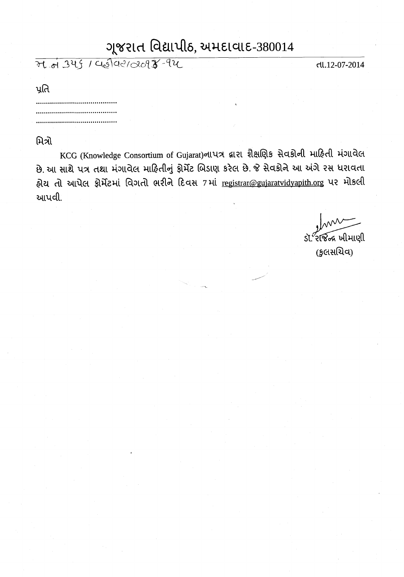## ગુજરાત વિદ્યાપીઠ, અમદાવાદ-380014

21 of 345 / Chélae/2098-94

તા.12-07-2014

પ્રતિ

## મિત્રો

KCG (Knowledge Consortium of Gujarat)નાપત્ર દ્વારા શૈક્ષણિક સેવકોની માહિતી મંગાવેલ છે. આ સાથે પત્ર તથા મંગાવેલ માહિતીનું ફોર્મેટ બિડાણ કરેલ છે. જે સેવકોને આ અંગે રસ ધરાવતા હોય તો આપેલ ફોર્મેટમાં વિગતો ભરીને દિવસ 7માં registrar@gujaratvidyapith.org પર મોકલી આપવી.

 $\widetilde{\mathcal{R}}$ જિન્દ્ર ખીમાણી (કુલસચિવ)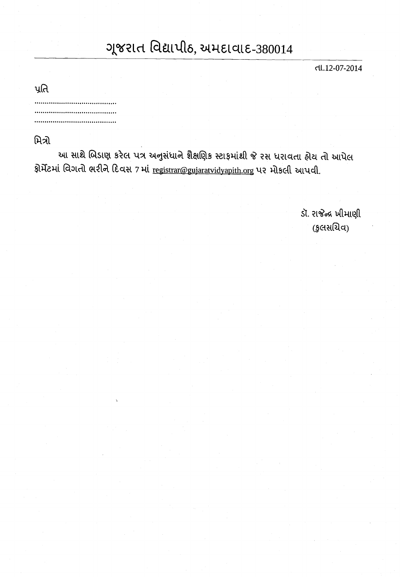## ગુજરાત વિદ્યાપીઠ, અમદાવાદ-380014

ત્તા.12-07-2014

| પૂતિ<br>× |  |
|-----------|--|
|           |  |
|           |  |
| .         |  |

મિત્રો

આ સાથે બિડાણ કરેલ પત્ર અનુસંધાને શૈક્ષણિક સ્ટાફમાંથી જે રસ ધરાવતા હોય તો આપેલ ફોર્મેટમાં વિગતો ભરીને દિવસ 7 માં registrar@gujaratvidyapith.org પર મોકલી આપવી.

> ડૉ. રાજેન્દ્ર ખીમાણી (કુલસચિવ)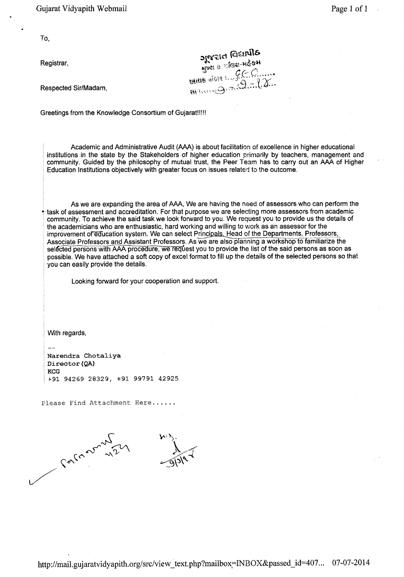Gujarat Vidyapith Webmail

To,

Registrar,

opera Cenlo<br>And Astar-Mean<br>Allet Mean CCO......

Respected Sir/Madam.

Greetings from the Knowledge Consortium of Gujarat !!!!!

Academic and Administrative Audit (AAA) is about facilitation of excellence in higher educational institutions in the state by the Stakeholders of higher education primarily by teachers, management and community. Guided by the philosophy of mutual trust, the Peer Team has to carry out an AAA of Higher Education Institutions objectively with greater focus on issues related to the outcome.

As we are expanding the area of AAA, We are having the need of assessors who can perform the task of assessment and accreditation. For that purpose we are selecting more assessors from academic community. To achieve the said task we look forward to you. We request you to provide us the details of the academicians who are enthusiastic, hard working and willing to work as an assessor for the improvement of education system. We can select Principals. Head of the Departments, Professors, Associate Professors and Assistant Professors. As we are also planning a workshop to familiarize the selected persons with AAA procedure, we request you to provide the list of the said persons as soon as possible. We have attached a soft copy of excel format to fill up the details of the selected persons so that you can easily provide the details.

Looking forward for your cooperation and support.

With regards,

Narendra Chotaliya Director (QA) **KCG** +91 94269 28329, +91 99791 42925

Please Find Attachment Here......